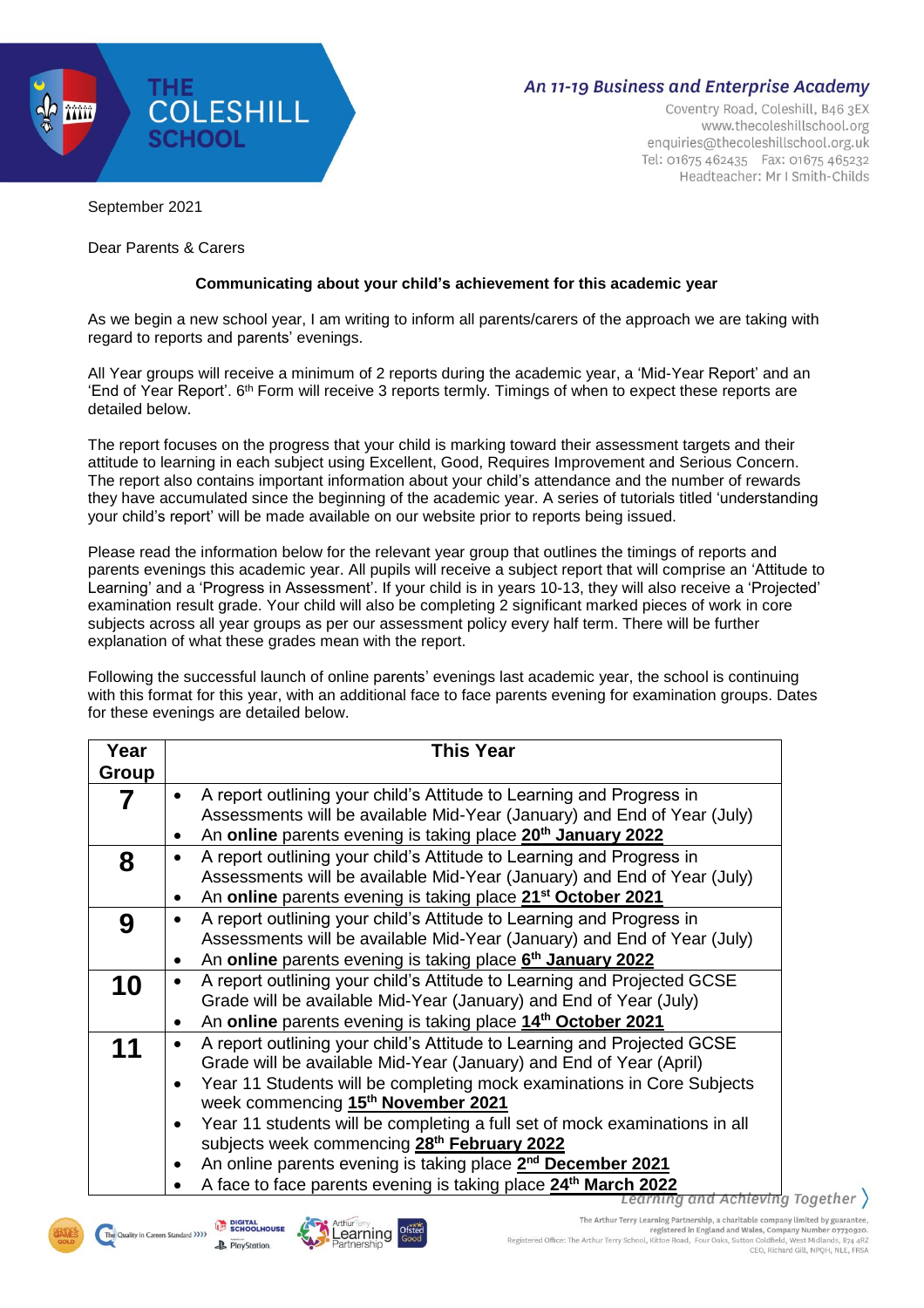

## **An 11-19 Business and Enterprise Academy**

Coventry Road, Coleshill, B46 3EX www.thecoleshillschool.org enquiries@thecoleshillschool.org.uk Tel: 01675 462435 Fax: 01675 465232 Headteacher: Mr I Smith-Childs

September 2021

Dear Parents & Carers

## **Communicating about your child's achievement for this academic year**

As we begin a new school year, I am writing to inform all parents/carers of the approach we are taking with regard to reports and parents' evenings.

All Year groups will receive a minimum of 2 reports during the academic year, a 'Mid-Year Report' and an 'End of Year Report'. 6<sup>th</sup> Form will receive 3 reports termly. Timings of when to expect these reports are detailed below.

The report focuses on the progress that your child is marking toward their assessment targets and their attitude to learning in each subject using Excellent, Good, Requires Improvement and Serious Concern. The report also contains important information about your child's attendance and the number of rewards they have accumulated since the beginning of the academic year. A series of tutorials titled 'understanding your child's report' will be made available on our website prior to reports being issued.

Please read the information below for the relevant year group that outlines the timings of reports and parents evenings this academic year. All pupils will receive a subject report that will comprise an 'Attitude to Learning' and a 'Progress in Assessment'. If your child is in years 10-13, they will also receive a 'Projected' examination result grade. Your child will also be completing 2 significant marked pieces of work in core subjects across all year groups as per our assessment policy every half term. There will be further explanation of what these grades mean with the report.

Following the successful launch of online parents' evenings last academic year, the school is continuing with this format for this year, with an additional face to face parents evening for examination groups. Dates for these evenings are detailed below.

| Year  | <b>This Year</b>                                                                        |
|-------|-----------------------------------------------------------------------------------------|
| Group |                                                                                         |
|       | A report outlining your child's Attitude to Learning and Progress in<br>$\bullet$       |
|       | Assessments will be available Mid-Year (January) and End of Year (July)                 |
|       | An online parents evening is taking place 20 <sup>th</sup> January 2022<br>٠            |
| 8     | A report outlining your child's Attitude to Learning and Progress in                    |
|       | Assessments will be available Mid-Year (January) and End of Year (July)                 |
|       | An online parents evening is taking place 21 <sup>st</sup> October 2021                 |
| 9     | A report outlining your child's Attitude to Learning and Progress in                    |
|       | Assessments will be available Mid-Year (January) and End of Year (July)                 |
|       | An online parents evening is taking place 6 <sup>th</sup> January 2022                  |
| 10    | A report outlining your child's Attitude to Learning and Projected GCSE                 |
|       | Grade will be available Mid-Year (January) and End of Year (July)                       |
|       | An online parents evening is taking place 14 <sup>th</sup> October 2021<br>٠            |
| 11    | A report outlining your child's Attitude to Learning and Projected GCSE                 |
|       | Grade will be available Mid-Year (January) and End of Year (April)                      |
|       | Year 11 Students will be completing mock examinations in Core Subjects<br>$\bullet$     |
|       | week commencing 15 <sup>th</sup> November 2021                                          |
|       | Year 11 students will be completing a full set of mock examinations in all<br>$\bullet$ |
|       | subjects week commencing 28 <sup>th</sup> February 2022                                 |
|       | An online parents evening is taking place 2 <sup>nd</sup> December 2021<br>$\bullet$    |
|       | A face to face parents evening is taking place 24 <sup>th</sup> March 2022              |